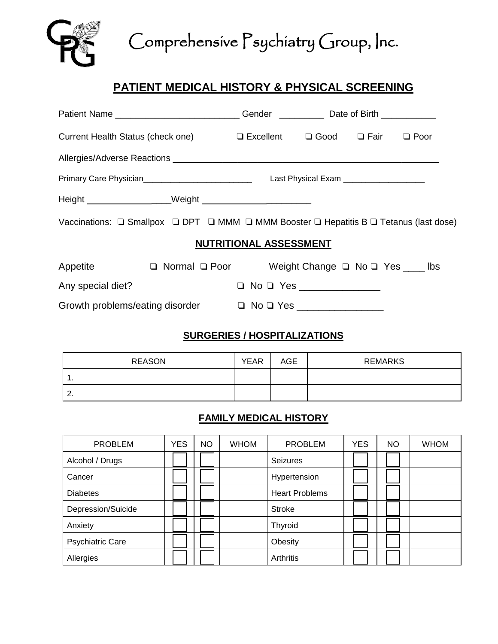

Comprehensive Psychiatry Group, Inc.

## **PATIENT MEDICAL HISTORY & PHYSICAL SCREENING**

|                                                                                                     |                                                                                                                      | Gender _______________ Date of Birth ______________ |  |  |  |  |
|-----------------------------------------------------------------------------------------------------|----------------------------------------------------------------------------------------------------------------------|-----------------------------------------------------|--|--|--|--|
|                                                                                                     |                                                                                                                      |                                                     |  |  |  |  |
|                                                                                                     |                                                                                                                      |                                                     |  |  |  |  |
| Primary Care Physician_________________________________  Last Physical Exam _______________________ |                                                                                                                      |                                                     |  |  |  |  |
|                                                                                                     |                                                                                                                      |                                                     |  |  |  |  |
|                                                                                                     | Vaccinations: $\Box$ Smallpox $\Box$ DPT $\Box$ MMM $\Box$ MMM Booster $\Box$ Hepatitis B $\Box$ Tetanus (last dose) |                                                     |  |  |  |  |
|                                                                                                     |                                                                                                                      | <b>NUTRITIONAL ASSESSMENT</b>                       |  |  |  |  |
|                                                                                                     | Appetite 		 □ Normal □ Poor 		 Weight Change □ No □ Yes ___ lbs                                                      |                                                     |  |  |  |  |
| Any special diet?                                                                                   |                                                                                                                      | $\Box$ No $\Box$ Yes _________________              |  |  |  |  |
| Growth problems/eating disorder<br>$\Box$ No $\Box$ Yes ________________                            |                                                                                                                      |                                                     |  |  |  |  |

#### **SURGERIES / HOSPITALIZATIONS**

| <b>REASON</b> | <b>YEAR</b> | <b>AGE</b> | <b>REMARKS</b> |
|---------------|-------------|------------|----------------|
| . .           |             |            |                |
| £<br><u>.</u> |             |            |                |

### **FAMILY MEDICAL HISTORY**

| <b>PROBLEM</b>          | <b>YES</b> | <b>NO</b> | <b>WHOM</b> | <b>PROBLEM</b>        | <b>YES</b> | <b>NO</b> | <b>WHOM</b> |
|-------------------------|------------|-----------|-------------|-----------------------|------------|-----------|-------------|
| Alcohol / Drugs         |            |           |             | Seizures              |            |           |             |
| Cancer                  |            |           |             | Hypertension          |            |           |             |
| <b>Diabetes</b>         |            |           |             | <b>Heart Problems</b> |            |           |             |
| Depression/Suicide      |            |           |             | <b>Stroke</b>         |            |           |             |
| Anxiety                 |            |           |             | Thyroid               |            |           |             |
| <b>Psychiatric Care</b> |            |           |             | Obesity               |            |           |             |
| Allergies               |            |           |             | Arthritis             |            |           |             |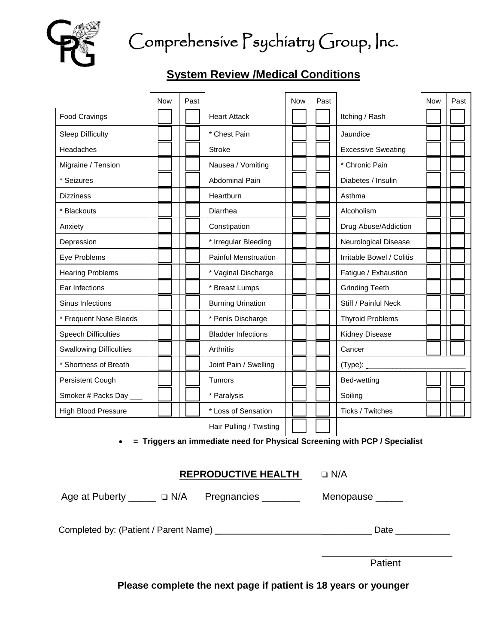

Comprehensive Psychiatry Group, Inc.

# **System Review /Medical Conditions**

|                                | <b>Now</b>                       | Past |                             | <b>Now</b> | Past |                           | <b>Now</b> | Past |
|--------------------------------|----------------------------------|------|-----------------------------|------------|------|---------------------------|------------|------|
| <b>Food Cravings</b>           |                                  |      | <b>Heart Attack</b>         |            |      | Itching / Rash            |            |      |
| <b>Sleep Difficulty</b>        |                                  |      | * Chest Pain                |            |      | Jaundice                  |            |      |
| Headaches                      |                                  |      | <b>Stroke</b>               |            |      | <b>Excessive Sweating</b> |            |      |
| Migraine / Tension             |                                  |      | Nausea / Vomiting           |            |      | * Chronic Pain            |            |      |
| * Seizures                     |                                  |      | <b>Abdominal Pain</b>       |            |      | Diabetes / Insulin        |            |      |
| <b>Dizziness</b>               |                                  |      | Heartburn                   |            |      | Asthma                    |            |      |
| * Blackouts                    |                                  |      | Diarrhea                    |            |      | Alcoholism                |            |      |
| Anxiety                        |                                  |      | Constipation                |            |      | Drug Abuse/Addiction      |            |      |
| Depression                     |                                  |      | * Irregular Bleeding        |            |      | Neurological Disease      |            |      |
| Eye Problems                   |                                  |      | <b>Painful Menstruation</b> |            |      | Irritable Bowel / Colitis |            |      |
| <b>Hearing Problems</b>        |                                  |      | * Vaginal Discharge         |            |      | Fatigue / Exhaustion      |            |      |
| Ear Infections                 |                                  |      | * Breast Lumps              |            |      | <b>Grinding Teeth</b>     |            |      |
| Sinus Infections               |                                  |      | <b>Burning Urination</b>    |            |      | Stiff / Painful Neck      |            |      |
| * Frequent Nose Bleeds         |                                  |      | * Penis Discharge           |            |      | <b>Thyroid Problems</b>   |            |      |
| <b>Speech Difficulties</b>     |                                  |      | <b>Bladder Infections</b>   |            |      | Kidney Disease            |            |      |
| <b>Swallowing Difficulties</b> |                                  |      | Arthritis                   |            |      | Cancer                    |            |      |
| * Shortness of Breath          | Joint Pain / Swelling<br>(Type): |      |                             |            |      |                           |            |      |
| Persistent Cough               |                                  |      | <b>Tumors</b>               |            |      | Bed-wetting               |            |      |
| Smoker # Packs Day ___         |                                  |      | * Paralysis                 |            |      | Soiling                   |            |      |
| <b>High Blood Pressure</b>     |                                  |      | * Loss of Sensation         |            |      | Ticks / Twitches          |            |      |
|                                |                                  |      | Hair Pulling / Twisting     |            |      |                           |            |      |

• **= Triggers an immediate need for Physical Screening with PCP / Specialist**

## **REPRODUCTIVE HEALTH Q N/A**

Age at Puberty \_\_\_\_\_ ❏ N/A Pregnancies \_\_\_\_\_\_\_ Menopause \_\_\_\_\_

Completed by: (Patient / Parent Name) \_ \_\_\_\_\_\_\_\_\_\_ Date \_\_\_\_\_\_\_\_\_\_\_

\_\_\_\_\_\_\_\_\_\_\_\_\_\_\_\_\_\_\_\_\_\_\_\_ **Patient** Communication of the Communication of the Communication of the Communication of the Communication of the Communication of the Communication of the Communication of the Communication of the Communication of the Co

**Please complete the next page if patient is 18 years or younger**